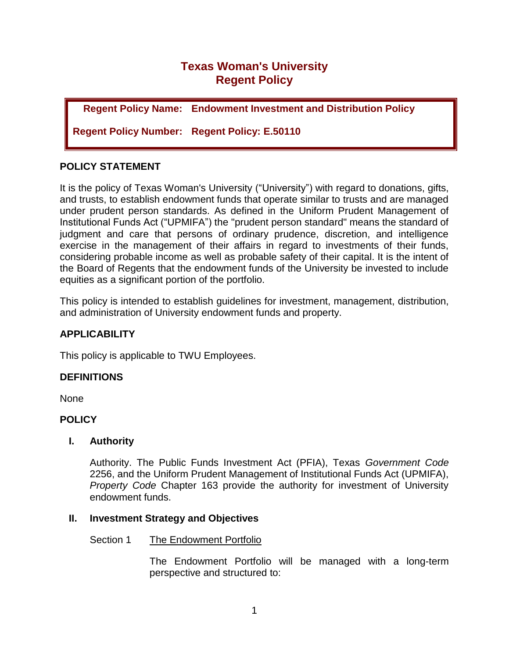# **Texas Woman's University Regent Policy**

**Regent Policy Name: Endowment Investment and Distribution Policy**

**Regent Policy Number: Regent Policy: E.50110**

## **POLICY STATEMENT**

It is the policy of Texas Woman's University ("University") with regard to donations, gifts, and trusts, to establish endowment funds that operate similar to trusts and are managed under prudent person standards. As defined in the Uniform Prudent Management of Institutional Funds Act ("UPMIFA") the "prudent person standard" means the standard of judgment and care that persons of ordinary prudence, discretion, and intelligence exercise in the management of their affairs in regard to investments of their funds, considering probable income as well as probable safety of their capital. It is the intent of the Board of Regents that the endowment funds of the University be invested to include equities as a significant portion of the portfolio.

This policy is intended to establish guidelines for investment, management, distribution, and administration of University endowment funds and property.

## **APPLICABILITY**

This policy is applicable to TWU Employees.

## **DEFINITIONS**

None

## **POLICY**

**I. Authority**

Authority. The Public Funds Investment Act (PFIA), Texas *Government Code* 2256, and the Uniform Prudent Management of Institutional Funds Act (UPMIFA), *Property Code* Chapter 163 provide the authority for investment of University endowment funds.

### **II. Investment Strategy and Objectives**

Section 1 The Endowment Portfolio

The Endowment Portfolio will be managed with a long-term perspective and structured to: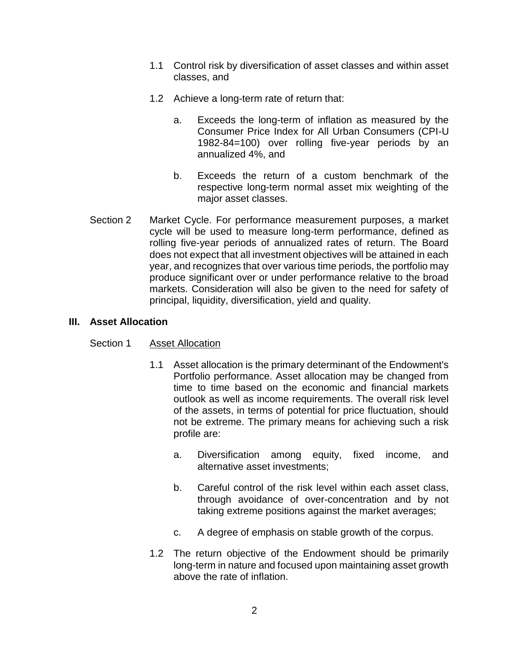- 1.1 Control risk by diversification of asset classes and within asset classes, and
- 1.2 Achieve a long-term rate of return that:
	- a. Exceeds the long-term of inflation as measured by the Consumer Price Index for All Urban Consumers (CPI-U 1982-84=100) over rolling five-year periods by an annualized 4%, and
	- b. Exceeds the return of a custom benchmark of the respective long-term normal asset mix weighting of the major asset classes.
- Section 2 Market Cycle. For performance measurement purposes, a market cycle will be used to measure long-term performance, defined as rolling five-year periods of annualized rates of return. The Board does not expect that all investment objectives will be attained in each year, and recognizes that over various time periods, the portfolio may produce significant over or under performance relative to the broad markets. Consideration will also be given to the need for safety of principal, liquidity, diversification, yield and quality.

## **III. Asset Allocation**

### Section 1 Asset Allocation

- 1.1 Asset allocation is the primary determinant of the Endowment's Portfolio performance. Asset allocation may be changed from time to time based on the economic and financial markets outlook as well as income requirements. The overall risk level of the assets, in terms of potential for price fluctuation, should not be extreme. The primary means for achieving such a risk profile are:
	- a. Diversification among equity, fixed income, and alternative asset investments;
	- b. Careful control of the risk level within each asset class, through avoidance of over-concentration and by not taking extreme positions against the market averages;
	- c. A degree of emphasis on stable growth of the corpus.
- 1.2 The return objective of the Endowment should be primarily long-term in nature and focused upon maintaining asset growth above the rate of inflation.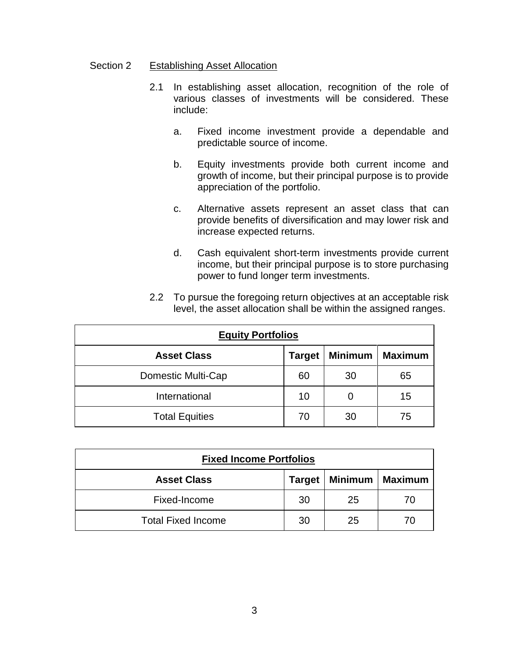#### Section 2 Establishing Asset Allocation

- 2.1 In establishing asset allocation, recognition of the role of various classes of investments will be considered. These include:
	- a. Fixed income investment provide a dependable and predictable source of income.
	- b. Equity investments provide both current income and growth of income, but their principal purpose is to provide appreciation of the portfolio.
	- c. Alternative assets represent an asset class that can provide benefits of diversification and may lower risk and increase expected returns.
	- d. Cash equivalent short-term investments provide current income, but their principal purpose is to store purchasing power to fund longer term investments.
- 2.2 To pursue the foregoing return objectives at an acceptable risk level, the asset allocation shall be within the assigned ranges.

| <b>Equity Portfolios</b> |               |                |                |
|--------------------------|---------------|----------------|----------------|
| <b>Asset Class</b>       | <b>Target</b> | <b>Minimum</b> | <b>Maximum</b> |
| Domestic Multi-Cap       | 60            | 30             | 65             |
| International            | 10            | 0              | 15             |
| <b>Total Equities</b>    | 70            | 30             | 75             |

| <b>Fixed Income Portfolios</b> |               |                |                |
|--------------------------------|---------------|----------------|----------------|
| <b>Asset Class</b>             | <b>Target</b> | <b>Minimum</b> | <b>Maximum</b> |
| Fixed-Income                   | 30            | 25             | 70             |
| <b>Total Fixed Income</b>      | 30            | 25             | $\prime$ ()    |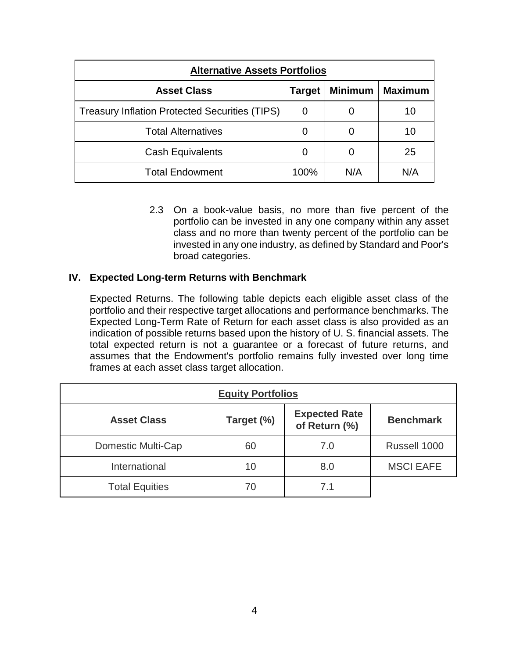| <b>Alternative Assets Portfolios</b>                  |               |                |                |
|-------------------------------------------------------|---------------|----------------|----------------|
| <b>Asset Class</b>                                    | <b>Target</b> | <b>Minimum</b> | <b>Maximum</b> |
| <b>Treasury Inflation Protected Securities (TIPS)</b> | 0             | O              | 10             |
| <b>Total Alternatives</b>                             | 0             |                | 10             |
| <b>Cash Equivalents</b>                               |               | O              | 25             |
| <b>Total Endowment</b>                                | 100%          | N/A            | N/A            |

2.3 On a book-value basis, no more than five percent of the portfolio can be invested in any one company within any asset class and no more than twenty percent of the portfolio can be invested in any one industry, as defined by Standard and Poor's broad categories.

### **IV. Expected Long-term Returns with Benchmark**

Expected Returns. The following table depicts each eligible asset class of the portfolio and their respective target allocations and performance benchmarks. The Expected Long-Term Rate of Return for each asset class is also provided as an indication of possible returns based upon the history of U. S. financial assets. The total expected return is not a guarantee or a forecast of future returns, and assumes that the Endowment's portfolio remains fully invested over long time frames at each asset class target allocation.

| <b>Equity Portfolios</b> |            |                                       |                  |
|--------------------------|------------|---------------------------------------|------------------|
| <b>Asset Class</b>       | Target (%) | <b>Expected Rate</b><br>of Return (%) | <b>Benchmark</b> |
| Domestic Multi-Cap       | 60         | 7.0                                   | Russell 1000     |
| International            | 10         | 8.0                                   | <b>MSCI EAFE</b> |
| <b>Total Equities</b>    | 70         | 7.1                                   |                  |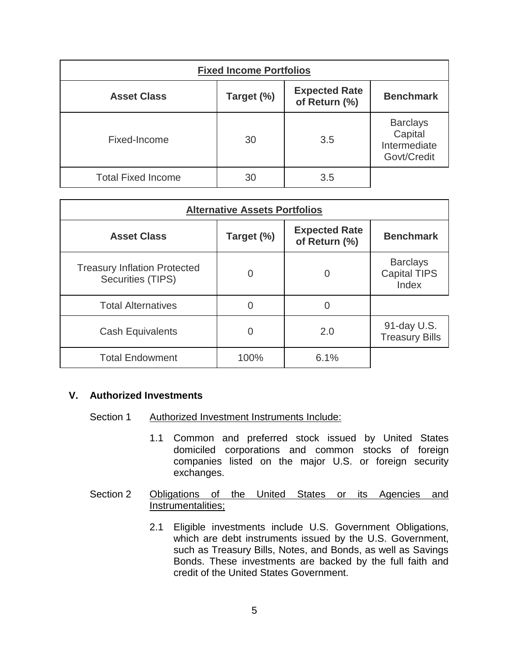| <b>Fixed Income Portfolios</b> |            |                                       |                                                           |
|--------------------------------|------------|---------------------------------------|-----------------------------------------------------------|
| <b>Asset Class</b>             | Target (%) | <b>Expected Rate</b><br>of Return (%) | <b>Benchmark</b>                                          |
| Fixed-Income                   | 30         | 3.5                                   | <b>Barclays</b><br>Capital<br>Intermediate<br>Govt/Credit |
| <b>Total Fixed Income</b>      | 30         | 3.5                                   |                                                           |

| <b>Alternative Assets Portfolios</b>                     |            |                                       |                                                 |
|----------------------------------------------------------|------------|---------------------------------------|-------------------------------------------------|
| <b>Asset Class</b>                                       | Target (%) | <b>Expected Rate</b><br>of Return (%) | <b>Benchmark</b>                                |
| <b>Treasury Inflation Protected</b><br>Securities (TIPS) | 0          | 0                                     | <b>Barclays</b><br><b>Capital TIPS</b><br>Index |
| <b>Total Alternatives</b>                                | 0          | Ω                                     |                                                 |
| <b>Cash Equivalents</b>                                  | 0          | 2.0                                   | 91-day U.S.<br><b>Treasury Bills</b>            |
| <b>Total Endowment</b>                                   | 100%       | 6.1%                                  |                                                 |

### **V. Authorized Investments**

#### Section 1 Authorized Investment Instruments Include:

- 1.1 Common and preferred stock issued by United States domiciled corporations and common stocks of foreign companies listed on the major U.S. or foreign security exchanges.
- Section 2 Obligations of the United States or its Agencies and Instrumentalities;
	- 2.1 Eligible investments include U.S. Government Obligations, which are debt instruments issued by the U.S. Government, such as Treasury Bills, Notes, and Bonds, as well as Savings Bonds. These investments are backed by the full faith and credit of the United States Government.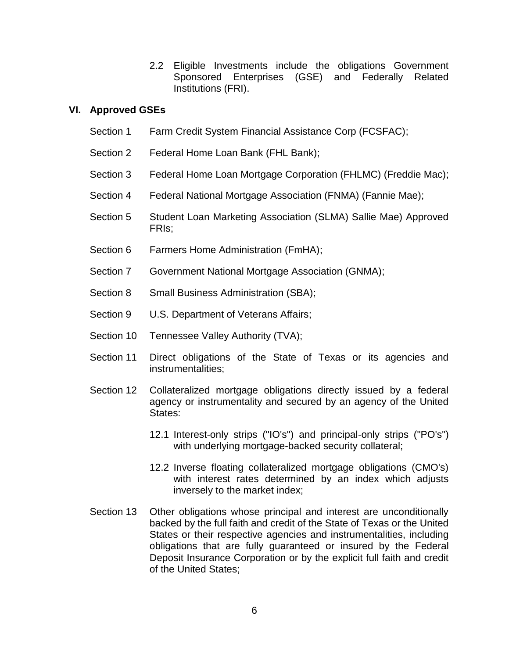2.2 Eligible Investments include the obligations Government Sponsored Enterprises (GSE) and Federally Related Institutions (FRI).

### **VI. Approved GSEs**

- Section 1 Farm Credit System Financial Assistance Corp (FCSFAC):
- Section 2 Federal Home Loan Bank (FHL Bank);
- Section 3 Federal Home Loan Mortgage Corporation (FHLMC) (Freddie Mac);
- Section 4 Federal National Mortgage Association (FNMA) (Fannie Mae);
- Section 5 Student Loan Marketing Association (SLMA) Sallie Mae) Approved FRIs;
- Section 6 Farmers Home Administration (FmHA);
- Section 7 Government National Mortgage Association (GNMA);
- Section 8 Small Business Administration (SBA);
- Section 9 U.S. Department of Veterans Affairs;
- Section 10 Tennessee Valley Authority (TVA);
- Section 11 Direct obligations of the State of Texas or its agencies and instrumentalities;
- Section 12 Collateralized mortgage obligations directly issued by a federal agency or instrumentality and secured by an agency of the United States:
	- 12.1 Interest-only strips ("IO's") and principal-only strips ("PO's") with underlying mortgage-backed security collateral;
	- 12.2 Inverse floating collateralized mortgage obligations (CMO's) with interest rates determined by an index which adjusts inversely to the market index;
- Section 13 Other obligations whose principal and interest are unconditionally backed by the full faith and credit of the State of Texas or the United States or their respective agencies and instrumentalities, including obligations that are fully guaranteed or insured by the Federal Deposit Insurance Corporation or by the explicit full faith and credit of the United States;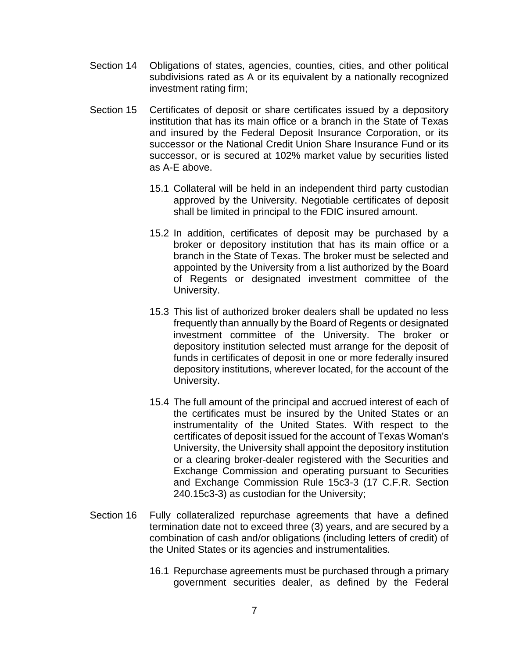- Section 14 Obligations of states, agencies, counties, cities, and other political subdivisions rated as A or its equivalent by a nationally recognized investment rating firm;
- Section 15 Certificates of deposit or share certificates issued by a depository institution that has its main office or a branch in the State of Texas and insured by the Federal Deposit Insurance Corporation, or its successor or the National Credit Union Share Insurance Fund or its successor, or is secured at 102% market value by securities listed as A-E above.
	- 15.1 Collateral will be held in an independent third party custodian approved by the University. Negotiable certificates of deposit shall be limited in principal to the FDIC insured amount.
	- 15.2 In addition, certificates of deposit may be purchased by a broker or depository institution that has its main office or a branch in the State of Texas. The broker must be selected and appointed by the University from a list authorized by the Board of Regents or designated investment committee of the University.
	- 15.3 This list of authorized broker dealers shall be updated no less frequently than annually by the Board of Regents or designated investment committee of the University. The broker or depository institution selected must arrange for the deposit of funds in certificates of deposit in one or more federally insured depository institutions, wherever located, for the account of the University.
	- 15.4 The full amount of the principal and accrued interest of each of the certificates must be insured by the United States or an instrumentality of the United States. With respect to the certificates of deposit issued for the account of Texas Woman's University, the University shall appoint the depository institution or a clearing broker-dealer registered with the Securities and Exchange Commission and operating pursuant to Securities and Exchange Commission Rule 15c3-3 (17 C.F.R. Section 240.15c3-3) as custodian for the University;
- Section 16 Fully collateralized repurchase agreements that have a defined termination date not to exceed three (3) years, and are secured by a combination of cash and/or obligations (including letters of credit) of the United States or its agencies and instrumentalities.
	- 16.1 Repurchase agreements must be purchased through a primary government securities dealer, as defined by the Federal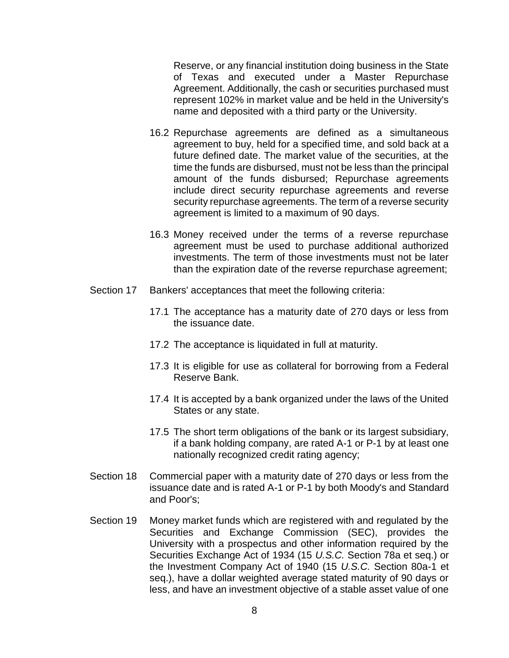Reserve, or any financial institution doing business in the State of Texas and executed under a Master Repurchase Agreement. Additionally, the cash or securities purchased must represent 102% in market value and be held in the University's name and deposited with a third party or the University.

- 16.2 Repurchase agreements are defined as a simultaneous agreement to buy, held for a specified time, and sold back at a future defined date. The market value of the securities, at the time the funds are disbursed, must not be less than the principal amount of the funds disbursed; Repurchase agreements include direct security repurchase agreements and reverse security repurchase agreements. The term of a reverse security agreement is limited to a maximum of 90 days.
- 16.3 Money received under the terms of a reverse repurchase agreement must be used to purchase additional authorized investments. The term of those investments must not be later than the expiration date of the reverse repurchase agreement;
- Section 17 Bankers' acceptances that meet the following criteria:
	- 17.1 The acceptance has a maturity date of 270 days or less from the issuance date.
	- 17.2 The acceptance is liquidated in full at maturity.
	- 17.3 It is eligible for use as collateral for borrowing from a Federal Reserve Bank.
	- 17.4 It is accepted by a bank organized under the laws of the United States or any state.
	- 17.5 The short term obligations of the bank or its largest subsidiary, if a bank holding company, are rated A-1 or P-1 by at least one nationally recognized credit rating agency;
- Section 18 Commercial paper with a maturity date of 270 days or less from the issuance date and is rated A-1 or P-1 by both Moody's and Standard and Poor's;
- Section 19 Money market funds which are registered with and regulated by the Securities and Exchange Commission (SEC), provides the University with a prospectus and other information required by the Securities Exchange Act of 1934 (15 *U.S.C.* Section 78a et seq.) or the Investment Company Act of 1940 (15 *U.S.C.* Section 80a-1 et seq.), have a dollar weighted average stated maturity of 90 days or less, and have an investment objective of a stable asset value of one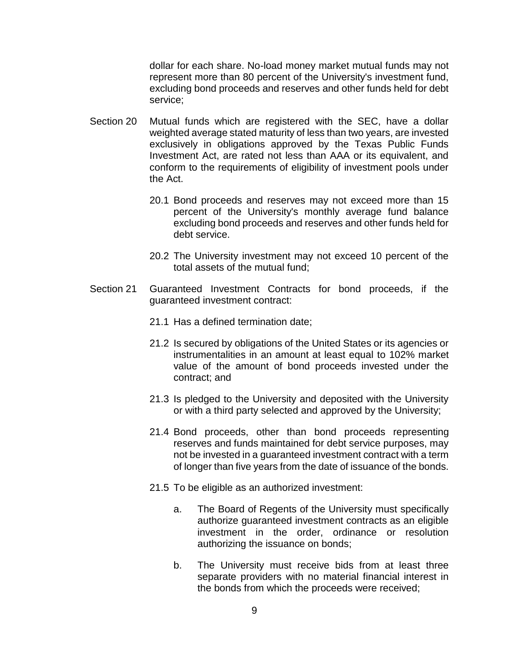dollar for each share. No-load money market mutual funds may not represent more than 80 percent of the University's investment fund, excluding bond proceeds and reserves and other funds held for debt service;

- Section 20 Mutual funds which are registered with the SEC, have a dollar weighted average stated maturity of less than two years, are invested exclusively in obligations approved by the Texas Public Funds Investment Act, are rated not less than AAA or its equivalent, and conform to the requirements of eligibility of investment pools under the Act.
	- 20.1 Bond proceeds and reserves may not exceed more than 15 percent of the University's monthly average fund balance excluding bond proceeds and reserves and other funds held for debt service.
	- 20.2 The University investment may not exceed 10 percent of the total assets of the mutual fund;
- Section 21 Guaranteed Investment Contracts for bond proceeds, if the guaranteed investment contract:
	- 21.1 Has a defined termination date;
	- 21.2 Is secured by obligations of the United States or its agencies or instrumentalities in an amount at least equal to 102% market value of the amount of bond proceeds invested under the contract; and
	- 21.3 Is pledged to the University and deposited with the University or with a third party selected and approved by the University;
	- 21.4 Bond proceeds, other than bond proceeds representing reserves and funds maintained for debt service purposes, may not be invested in a guaranteed investment contract with a term of longer than five years from the date of issuance of the bonds.
	- 21.5 To be eligible as an authorized investment:
		- a. The Board of Regents of the University must specifically authorize guaranteed investment contracts as an eligible investment in the order, ordinance or resolution authorizing the issuance on bonds;
		- b. The University must receive bids from at least three separate providers with no material financial interest in the bonds from which the proceeds were received;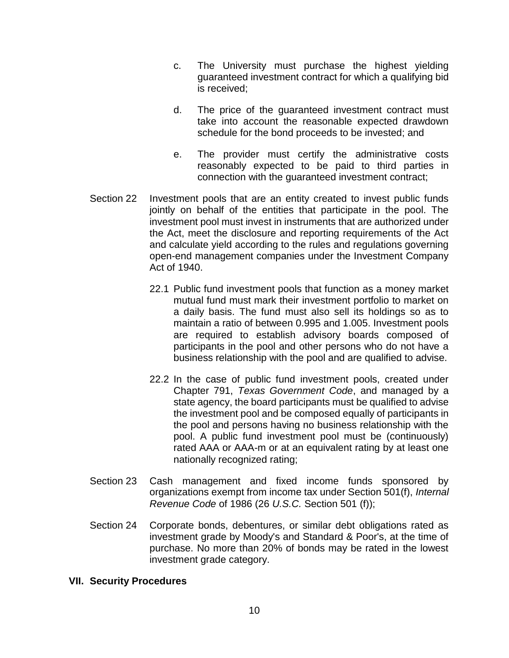- c. The University must purchase the highest yielding guaranteed investment contract for which a qualifying bid is received;
- d. The price of the guaranteed investment contract must take into account the reasonable expected drawdown schedule for the bond proceeds to be invested; and
- e. The provider must certify the administrative costs reasonably expected to be paid to third parties in connection with the guaranteed investment contract;
- Section 22 Investment pools that are an entity created to invest public funds jointly on behalf of the entities that participate in the pool. The investment pool must invest in instruments that are authorized under the Act, meet the disclosure and reporting requirements of the Act and calculate yield according to the rules and regulations governing open-end management companies under the Investment Company Act of 1940.
	- 22.1 Public fund investment pools that function as a money market mutual fund must mark their investment portfolio to market on a daily basis. The fund must also sell its holdings so as to maintain a ratio of between 0.995 and 1.005. Investment pools are required to establish advisory boards composed of participants in the pool and other persons who do not have a business relationship with the pool and are qualified to advise.
	- 22.2 In the case of public fund investment pools, created under Chapter 791, *Texas Government Code*, and managed by a state agency, the board participants must be qualified to advise the investment pool and be composed equally of participants in the pool and persons having no business relationship with the pool. A public fund investment pool must be (continuously) rated AAA or AAA-m or at an equivalent rating by at least one nationally recognized rating;
- Section 23 Cash management and fixed income funds sponsored by organizations exempt from income tax under Section 501(f), *Internal Revenue Code* of 1986 (26 *U.S.C.* Section 501 (f));
- Section 24 Corporate bonds, debentures, or similar debt obligations rated as investment grade by Moody's and Standard & Poor's, at the time of purchase. No more than 20% of bonds may be rated in the lowest investment grade category.

### **VII. Security Procedures**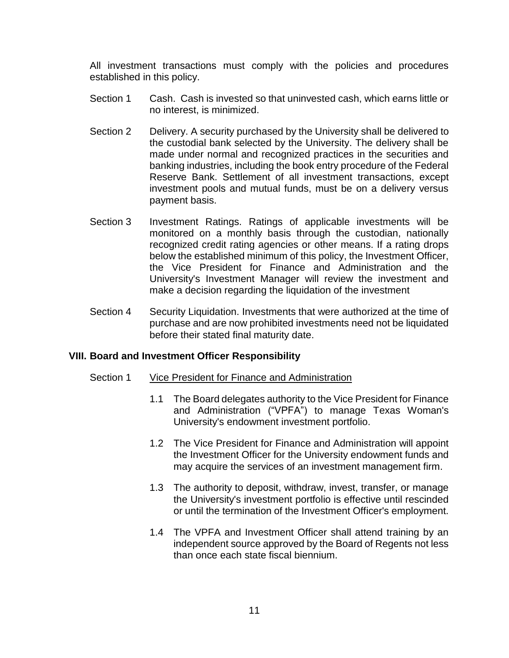All investment transactions must comply with the policies and procedures established in this policy.

- Section 1 Cash. Cash is invested so that uninvested cash, which earns little or no interest, is minimized.
- Section 2 Delivery. A security purchased by the University shall be delivered to the custodial bank selected by the University. The delivery shall be made under normal and recognized practices in the securities and banking industries, including the book entry procedure of the Federal Reserve Bank. Settlement of all investment transactions, except investment pools and mutual funds, must be on a delivery versus payment basis.
- Section 3 Investment Ratings. Ratings of applicable investments will be monitored on a monthly basis through the custodian, nationally recognized credit rating agencies or other means. If a rating drops below the established minimum of this policy, the Investment Officer, the Vice President for Finance and Administration and the University's Investment Manager will review the investment and make a decision regarding the liquidation of the investment
- Section 4 Security Liquidation. Investments that were authorized at the time of purchase and are now prohibited investments need not be liquidated before their stated final maturity date.

### **VIII. Board and Investment Officer Responsibility**

#### Section 1 Vice President for Finance and Administration

- 1.1 The Board delegates authority to the Vice President for Finance and Administration ("VPFA") to manage Texas Woman's University's endowment investment portfolio.
- 1.2 The Vice President for Finance and Administration will appoint the Investment Officer for the University endowment funds and may acquire the services of an investment management firm.
- 1.3 The authority to deposit, withdraw, invest, transfer, or manage the University's investment portfolio is effective until rescinded or until the termination of the Investment Officer's employment.
- 1.4 The VPFA and Investment Officer shall attend training by an independent source approved by the Board of Regents not less than once each state fiscal biennium.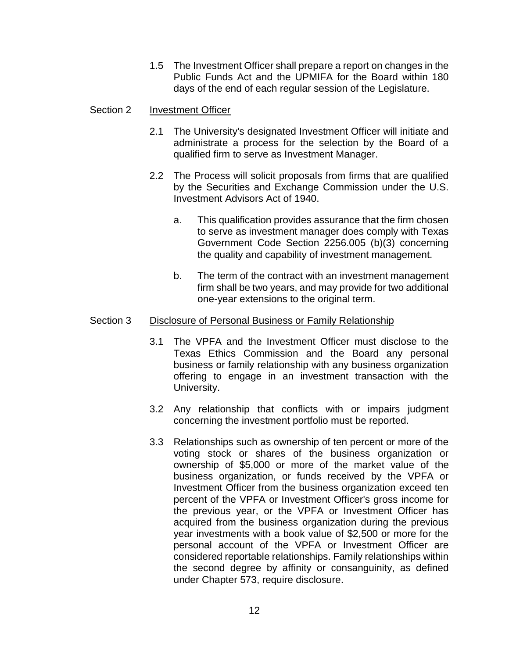1.5 The Investment Officer shall prepare a report on changes in the Public Funds Act and the UPMIFA for the Board within 180 days of the end of each regular session of the Legislature.

#### Section 2 Investment Officer

- 2.1 The University's designated Investment Officer will initiate and administrate a process for the selection by the Board of a qualified firm to serve as Investment Manager.
- 2.2 The Process will solicit proposals from firms that are qualified by the Securities and Exchange Commission under the U.S. Investment Advisors Act of 1940.
	- a. This qualification provides assurance that the firm chosen to serve as investment manager does comply with Texas Government Code Section 2256.005 (b)(3) concerning the quality and capability of investment management.
	- b. The term of the contract with an investment management firm shall be two years, and may provide for two additional one-year extensions to the original term.

#### Section 3 Disclosure of Personal Business or Family Relationship

- 3.1 The VPFA and the Investment Officer must disclose to the Texas Ethics Commission and the Board any personal business or family relationship with any business organization offering to engage in an investment transaction with the University.
- 3.2 Any relationship that conflicts with or impairs judgment concerning the investment portfolio must be reported.
- 3.3 Relationships such as ownership of ten percent or more of the voting stock or shares of the business organization or ownership of \$5,000 or more of the market value of the business organization, or funds received by the VPFA or Investment Officer from the business organization exceed ten percent of the VPFA or Investment Officer's gross income for the previous year, or the VPFA or Investment Officer has acquired from the business organization during the previous year investments with a book value of \$2,500 or more for the personal account of the VPFA or Investment Officer are considered reportable relationships. Family relationships within the second degree by affinity or consanguinity, as defined under Chapter 573, require disclosure.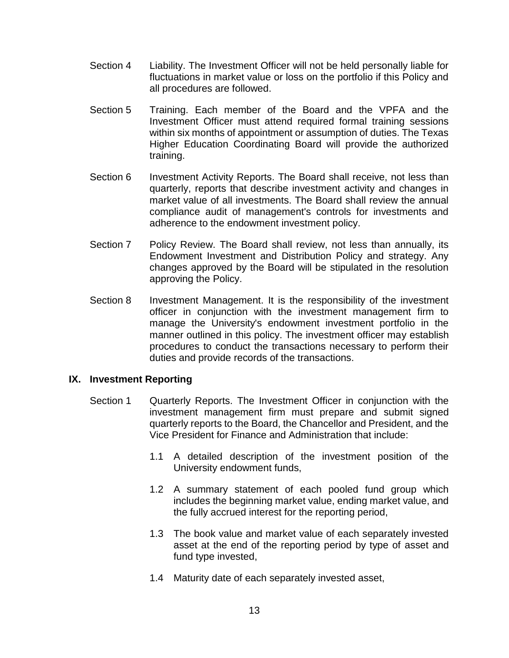- Section 4 Liability. The Investment Officer will not be held personally liable for fluctuations in market value or loss on the portfolio if this Policy and all procedures are followed.
- Section 5 Training. Each member of the Board and the VPFA and the Investment Officer must attend required formal training sessions within six months of appointment or assumption of duties. The Texas Higher Education Coordinating Board will provide the authorized training.
- Section 6 Investment Activity Reports. The Board shall receive, not less than quarterly, reports that describe investment activity and changes in market value of all investments. The Board shall review the annual compliance audit of management's controls for investments and adherence to the endowment investment policy.
- Section 7 Policy Review. The Board shall review, not less than annually, its Endowment Investment and Distribution Policy and strategy. Any changes approved by the Board will be stipulated in the resolution approving the Policy.
- Section 8 Investment Management. It is the responsibility of the investment officer in conjunction with the investment management firm to manage the University's endowment investment portfolio in the manner outlined in this policy. The investment officer may establish procedures to conduct the transactions necessary to perform their duties and provide records of the transactions.

### **IX. Investment Reporting**

- Section 1 Quarterly Reports. The Investment Officer in conjunction with the investment management firm must prepare and submit signed quarterly reports to the Board, the Chancellor and President, and the Vice President for Finance and Administration that include:
	- 1.1 A detailed description of the investment position of the University endowment funds,
	- 1.2 A summary statement of each pooled fund group which includes the beginning market value, ending market value, and the fully accrued interest for the reporting period,
	- 1.3 The book value and market value of each separately invested asset at the end of the reporting period by type of asset and fund type invested,
	- 1.4 Maturity date of each separately invested asset,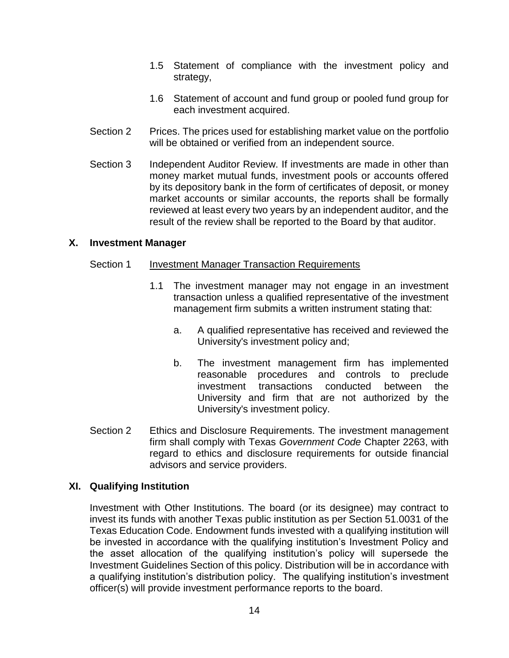- 1.5 Statement of compliance with the investment policy and strategy,
- 1.6 Statement of account and fund group or pooled fund group for each investment acquired.
- Section 2 Prices. The prices used for establishing market value on the portfolio will be obtained or verified from an independent source.
- Section 3 Independent Auditor Review. If investments are made in other than money market mutual funds, investment pools or accounts offered by its depository bank in the form of certificates of deposit, or money market accounts or similar accounts, the reports shall be formally reviewed at least every two years by an independent auditor, and the result of the review shall be reported to the Board by that auditor.

### **X. Investment Manager**

### Section 1 Investment Manager Transaction Requirements

- 1.1 The investment manager may not engage in an investment transaction unless a qualified representative of the investment management firm submits a written instrument stating that:
	- a. A qualified representative has received and reviewed the University's investment policy and;
	- b. The investment management firm has implemented reasonable procedures and controls to preclude investment transactions conducted between the University and firm that are not authorized by the University's investment policy.
- Section 2 Ethics and Disclosure Requirements. The investment management firm shall comply with Texas *Government Code* Chapter 2263, with regard to ethics and disclosure requirements for outside financial advisors and service providers.

### **XI. Qualifying Institution**

Investment with Other Institutions. The board (or its designee) may contract to invest its funds with another Texas public institution as per Section 51.0031 of the Texas Education Code. Endowment funds invested with a qualifying institution will be invested in accordance with the qualifying institution's Investment Policy and the asset allocation of the qualifying institution's policy will supersede the Investment Guidelines Section of this policy. Distribution will be in accordance with a qualifying institution's distribution policy. The qualifying institution's investment officer(s) will provide investment performance reports to the board.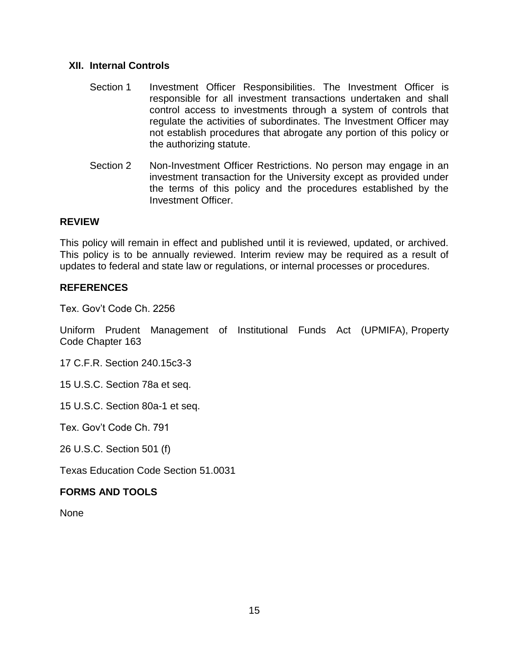#### **XII. Internal Controls**

- Section 1 Investment Officer Responsibilities. The Investment Officer is responsible for all investment transactions undertaken and shall control access to investments through a system of controls that regulate the activities of subordinates. The Investment Officer may not establish procedures that abrogate any portion of this policy or the authorizing statute.
- Section 2 Non-Investment Officer Restrictions. No person may engage in an investment transaction for the University except as provided under the terms of this policy and the procedures established by the Investment Officer.

#### **REVIEW**

This policy will remain in effect and published until it is reviewed, updated, or archived. This policy is to be annually reviewed. Interim review may be required as a result of updates to federal and state law or regulations, or internal processes or procedures.

#### **REFERENCES**

Tex. Gov't Code Ch. 2256

Uniform Prudent Management of Institutional Funds Act (UPMIFA), Property Code Chapter 163

17 C.F.R. Section 240.15c3-3

15 U.S.C. Section 78a et seq.

15 U.S.C. Section 80a-1 et seq.

Tex. Gov't Code Ch. 791

26 U.S.C. Section 501 (f)

Texas Education Code Section 51.0031

### **FORMS AND TOOLS**

None